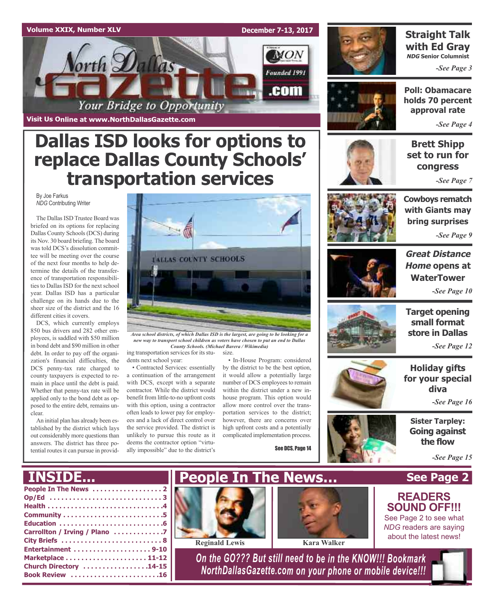

## **Dallas ISD looks for options to replace Dallas County Schools' transportation services**

By Joe Farkus *NDG* Contributing Writer

The Dallas ISD Trustee Board was briefed on its options for replacing Dallas County Schools(DCS) during its Nov. 30 board briefing. The board was told DCS's dissolution committee will be meeting over the course of the next four months to help determine the details of the transference of transportation responsibilities to Dallas ISD for the next school year. Dallas ISD has a particular challenge on its hands due to the sheer size of the district and the 16 different cities it covers.

DCS, which currently employs 850 bus drivers and 282 other employees, is saddled with \$50 million in bond debt and \$90 million in other debt. In order to pay off the organization's financial difficulties, the DCS penny-tax rate charged to county taxpayers is expected to remain in place until the debt is paid. Whether that penny-tax rate will be applied only to the bond debt as opposed to the entire debt, remains unclear.

An initial plan has already been established by the district which lays out considerably more questions than answers. The district has three potential routes it can pursue in provid-



*Area school districts, of which Dallas ISD is the largest, are going to be looking for a new way to transport school children as voters have chosen to put an end to Dallas County Schools. (Michael Barera / Wikimedia)*

ing transportation services for its students next school year: size.

• Contracted Services: essentially a continuation of the arrangement with DCS, except with a separate contractor. While the district would benefit from little-to-no upfront costs with this option, using a contractor often leads to lower pay for employees and a lack of direct control over the service provided. The district is unlikely to pursue this route as it deems the contractor option "virtually impossible" due to the district's

• In-House Program: considered by the district to be the best option, it would allow a potentially large number of DCS employees to remain within the district under a new inhouse program. This option would allow more control over the transportation services to the district; however, there are concerns over high upfront costs and a potentially complicated implementation process.

See DCS, Page 14



### **Straight Talk with Ed Gray NDG Senior Columnist**

*-See Page 3*

**Poll: Obamacare holds 70 percent approval rate**

*-See Page 4*

### **Brett Shipp set to run for congress**

*-See Page 7*



*-See Page 9*



**Great Distance Home opens at WaterTower** *-See Page 10*



**Target opening small format store in Dallas**

*-See Page 12*

**Holiday gifts for your special diva** *-See Page 16*

**Sister Tarpley: Going against the flow**

**See Page 2**

**READERS SOUND OFF!!!** See Page 2 to see what *NDG* readers are saying about the latest news!

*-See Page 15*

### **INSIDE...**

| Carrollton / Irving / Plano 7 |
|-------------------------------|
|                               |
|                               |
|                               |
| Church Directory 14-15        |
| Book Review 16                |





**Reginald Lewis Kara Walker** 

*On the GO??? But still need to be in the KNOW!!! Bookmark NorthDallasGazette.com on your phone or mobile device!!!*

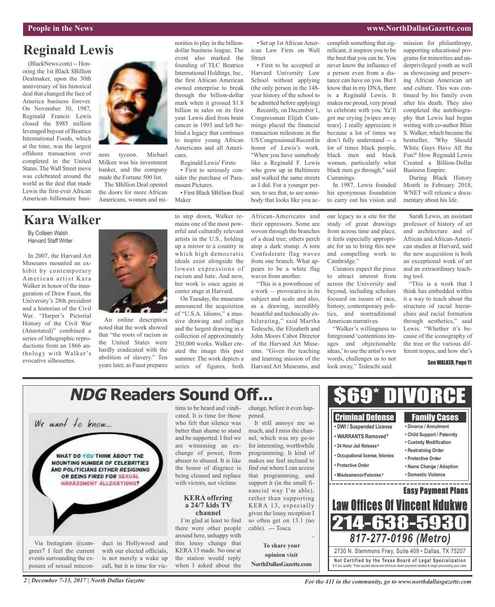### **People in the News www.NorthDallasGazette.com**

### **Reginald Lewis**

(BlackNews.com) -- Honoring the 1st Black \$Billion Dealmaker, upon the 30th anniversary of his historical deal that changed the face of America business forever. On November 30, 1987, Reginald Francis Lewis closed the \$985 million leveraged buyout of Beatrice International Foods, which at the time, was the largest offshore transaction ever completed in the United States. The Wall Street move was celebrated around the world as the deal that made Lewis the first-ever African American billionaire busi-



ness tycoon. Michael Milken was his investment banker, and the company made the Fortune 500 list.

The \$Billion Deal opened the doors for more African Americans, women and minorities to play in the billiondollar business league. The event also marked the founding of TLC Beatrice International Holdings, Inc., the first African American owned enterprise to break through the billion-dollar mark when it grossed \$1.8 billion in sales on its first year. Lewis died from brain cancer in 1993 and left behind a legacy that continues to inspire young African Americans and all Americans.

Reginald Lewis' Firsts:

• First to seriously consider the purchase of Paramount Pictures.

• First Black \$Billion Deal Maker

• Set up 1stAfricanAmerican Law Firm on Wall Street

• First to be accepted at Harvard University Law School without applying (the only person in the 148 year history of the school to be admitted before applying)

Recently, on December 1, Congressman Elijah Cummings placed the financial transaction milestone in the US Congressional Record in honor of Lewis's work. "When you have somebody like a Reginald F. Lewis who grew up in Baltimore and walked the same streets as I did. For a younger person, to see that, to see somebody that looks like you accomplish something that significant, it inspires you to be the best that you can be. You never know the influence of a person even from a distance can have on you. But I know that in my DNA, there is a Reginald Lewis. It makes me proud, very proud to celebrate with you. Ya'll got me crying [wipes away tears]. I really appreciate it because a lot of times we don't fully understand -- a lot of times black people, black men and black women, particularly what black men go through," said Cummings.

In 1987, Lewis founded his eponymous foundation to carry out his vision and

mission for philanthropy, supporting educational programs for minorities and underprivileged youth as well as showcasing and preserving African American art and culture. This was continued by his family even after his death. They also completed the autobiography that Lewis had begun writing with co-author Blair S. Walker, which became the bestseller, 'Why Should White Guys Have All the Fun?' How Reginald Lewis Created a Billion-Dollar Business Empire.

During Black History Month in February 2018, WNET will release a documentary about his life.

### **Kara Walker**

By Colleen Walsh Harvard Staff Writer

In 2007, the Harvard Art Museums mounted an exhibit by contemporary American artist Kara Walker in honor of the inauguration of Drew Faust, the University's 28th president and a historian of the Civil War. "Harper's Pictorial History of the Civil War (Annotated)" combined a series of lithographic reproductions from an 1866 anthology with Walker's evocative silhouettes.



An online description noted that the work showed that "the roots of racism in the United States were hardly eradicated with the abolition of slavery." Ten years later, as Faust prepares to step down, Walker remains one of the most powerful and culturally relevant artists in the U.S., holding up a mirror to a country in which high democratic ideals exist alongside the lowest expressions of racism and hate. And now, her work is once again at center stage at Harvard.

On Tuesday, the museums announced the acquisition of "U.S.A. Idioms," a massive drawing and collage and the largest drawing in a collection of approximately 250,000 works. Walker created the image this past summer. The work depicts a series of figures, both African-Americans and their oppressors. Some are woven through the branches of a dead tree; others perch atop a dark stump. A torn Confederate flag waves from one branch. What appears to be a white flag waves from another.

"This is a powerhouse of a work — provocative in its subject and scale and also, as a drawing, incredibly beautiful and technically exhilarating," said Martha Tedeschi, the Elizabeth and John Moors Cabot Director of the Harvard Art Museums. "Given the teaching and learning mission of the Harvard Art Museums, and our legacy as a site for the study of great drawings from across time and place, it feels especially appropriate for us to bring this new and compelling work to Cambridge."

Curators expect the piece to attract interest from across the University and beyond, including scholars focused on issues of race, history, contemporary politics, and nontraditional American narratives.

"Walker's willingness to foreground 'contentious images and objectionable ideas,'to use the artist's own words, challenges us to not look away," Tedeschi said.

Sarah Lewis, an assistant professor of history of art and architecture and of African and African-American studies at Harvard, said the new acquisition is both an exceptional work of art and an extraordinary teaching tool.

"This is a work that I think has embedded within it a way to teach about the structure of racial hierarchies and racial formation through aesthetics," said Lewis. "Whether it's because of the iconography of the tree or the various different tropes, and how she's

### See WALKER, Page 11

## **NDG Readers Sound Off...**



events surrounding the exposure of sexual miscon-

is not merely a wake up call, but it is time for vic-

tims to be heard and vindicated. It is time for those who felt that silence was better than shame to stand and be supported. I feel we are witnessing an exchange of power, from abuser to abused. It is like the house of disgrace is being cleaned and replace with victors, not victims.

#### **KERA offering a 24/7 kids TV channel**

I'm glad at least to find there were other people around here, unhappy with this lousy change that KERA 13 made. No one at the station would reply when I asked about the

change, before it even happened.

It still annoys me so much, and I miss the channel, which was my go-to for interesting, worthwhile programming. It kind of makes me feel inclined to find out where I can access that programming, and support it (in the small financial way I'm able), rather than supporting KERA 13, especially given the lousy reception I so often get on 13.1 (no cable). --- Tosca

**To share your opinion visit NorthDallasGazette.com**



*2 | December 7-13, 2017 | North Dallas Gazette*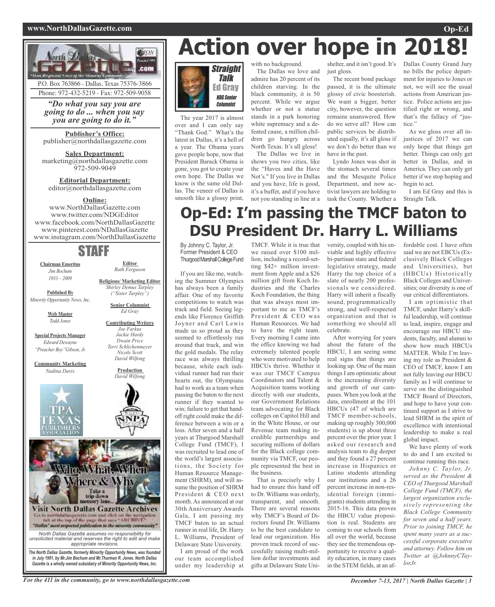### **www.NorthDallasGazette.com Op-Ed**



P.O. Box 763866 - Dallas, Texas 75376-3866 Phone: 972-432-5219 - Fax: 972-509-9058

*"Do what you say you are going to do ... when you say you are going to do it."*

**Publisher's Office:** publisher@northdallasgazette.com

**Sales Department:** marketing@northdallasgazette.com 972-509-9049

**Editorial Department:** editor@northdallasgazette.com

### **Online:**

www.NorthDallasGazette.com www.twitter.com/NDGEditor www.facebook.com/NorthDallasGazette www.pinterest.com/NDallasGazette www.instagram.com/NorthDallasGazette

### STAFF

**Editor** *Ruth Ferguson* **Religious/ Marketing Editor** *Shirley Demus Tarpley ("Sister Tarpley")* **Senior Columnist** *Ed Gray* **Contributing Writers** *Joe Farkus Jackie Hardy Dwain Price Terri Schlichenmeyer Nicole Scott David Wilfong* **Production**

**Chairman Emeritus** *Jim Bochum 1933 – 2009*

**Published By** *Minority Opportunity News, Inc.*

> **Web Master** *Todd Jones*

**Special Projects Manager** *Edward Dewayne "Preacher Boy"Gibson, Jr.*

**Community Marketing** *Nadina Davis*





*unsolicited material and reserves the right to edit and make appropriate revisions. The North Dallas Gazette, formerly Minority Opportunity News, was founded*

*in July 1991, by Mr.Jim Bochum and Mr.Thurman R. Jones. North Dallas Gazette is a wholly owned subsidairy of Minority Opportunity News, Inc.*

*David Wilfong*





The year 2017 is almost over and I can only say "Thank God." What's the latest in Dallas, it's a hell of a year. The Obama years gave people hope, now that President Barack Obama is gone, you got to create your own hope. The Dallas we know is the same old Dallas. The veneer of Dallas is smooth like a glossy print,

with no background.

The Dallas we love and admire has 20 percent of its children starving. In the black community, it is 50 percent. While we argue whether or not a statue stands in a park honoring white supremacy and a defeated cause, a million children go hungry across North Texas. It's all gloss!

The Dallas we live in shows you two cities, like the "Haves and the Have Not's." If you live in Dallas and you have, life is good, it's a buffet, and if you have not you standing in line at a

just gloss.

The recent bond package passed, it is the ultimate glossy of civic boosterish. We want a bigger, better city, however, the question remains unanswered. How do we serve all? How can public services be distributed equally, it's all gloss if we don't do better than we have in the past.

Lyndo Jones was shot in the stomach several times and the Mesquite Police Department, and now activist lawyers are holding to task the County. Whether a

shelter, and it isn't good. It's Dallas County Grand Jury no bills the police department for injuries to Jones or not, we will see the usual actions from American justice. Police actions are justified right or wrong, and that's the fallacy of "justice."

As we gloss over all injustices of 2017 we can only hope that things get better. Things can only get better in Dallas, and in America. They can only get better if we stop hoping and begin to act.

I am Ed Gray and this is Straight Talk.

## **Op-Ed: I'm passing the TMCF baton to DSU President Dr. Harry L. Williams**

By Johnny C. Taylor, Jr. Former President & CEO Thurgood Marshall College Fund

If you are like me, watching the Summer Olympics has always been a family affair. One of my favorite competitions to watch was track and field. Seeing legends like Florence Griffith Joyner and Carl Lewis made us so proud as they seemed to effortlessly run around that track, and win the gold medals. The relay race was always thrilling because, while each individual runner had run their hearts out, the Olympians had to work as a team when passing the baton to the next runner if they wanted to win; failure to get that handoff right could make the difference between a win or a loss. After seven and a half years at Thurgood Marshall College Fund (TMCF), I was recruited to lead one of the world's largest associations, the Society for Human Resource Management (SHRM), and will assume the position of SHRM President & CEO next month. As announced at our 30th Anniversary Awards Gala, I am passing my TMCF baton to an actual runner in real life, Dr. Harry L. Williams, President of Delaware State University.

I am proud of the work our team accomplished under my leadership at

TMCF. While it is true that we raised over \$100 million, including a record-setting \$42+ million investment from Apple and a \$26 million gift from Koch Industries and the Charles Koch Foundation, the thing that was always most important to me as TMCF's President & CEO was Human Resources. We had to have the right team. Every morning I came into the office knowing we had extremely talented people who were motivated to help HBCUs thrive. Whether it was our TMCF Campus Coordinators and Talent & Acquisition teams working directly with our students, our Government Relations team advocating for Black colleges on Capitol Hill and in the White House, or our Revenue team making incredible partnerships and securing millions of dollars for the Black college community via TMCF, our people represented the best in the business. That is precisely why I

had to ensure this hand off to Dr. Williams was orderly, transparent, and smooth. There are several reasons why TMCF's Board of Directors found Dr. Williams to be the best candidate to lead our organization. His proven track record of successfully raising multi-million dollar investments and gifts at Delaware State University, coupled with his enviable and highly effective bi-partisan state and federal legislative strategy, made Harry the top choice of a slate of nearly 200 professionals we considered. Harry will inherit a fiscally sound, programmatically strong, and well-respected organization and that is something we should all celebrate.

After worrying for years about the future of the HBCU, I am seeing some real signs that things are looking up. One of the main things I am optimistic about is the increasing diversity and growth of our campuses. When you look at the data, enrollment at the 101 HBCUs (47 of which are TMCF member-schools, making up roughly 300,000 students) is up about three percent over the prior year. I asked our research and analysis team to dig deeper and they found a 27 percent increase in Hispanics or Latino students attending our institutions and a 26 percent increase in non-residential foreign (immigrants) students attending in 2015-16. This data proves the HBCU value proposition is real. Students are coming to our schools from all over the world, because they see the tremendous opportunity to receive a quality education, in many cases in the STEM fields, at an affordable cost. I have often said we are not EBCUs (Exclusively Black Colleges and Universities), but (HBCUs) Historically Black Colleges and Universities; our diversity is one of our critical differentiators.

I am optimistic that TMCF, under Harry's skillful leadership, will continue to lead, inspire, engage and encourage our HBCU students, faculty, and alumni to show how much HBCUs MATTER. While I'm leaving my role as President & CEO of TMCF, know I am not fully leaving our HBCU family as I will continue to serve on the distinguished TMCF Board of Directors, and hope to have your continued support as I strive to lead SHRM in the spirit of excellence with intentional leadership to make a real global impact.

We have plenty of work to do and I am excited to continue running this race.

*Johnny C. Taylor, Jr. served as the President & CEO of Thurgood Marshall College Fund (TMCF), the largest organization exclusively representing the Black College Community for seven and a half years. Prior to joining TMCF, he spent many years as a successful corporate executive and attorney. Follow him on Twitter at @JohnnyCTaylorJr.*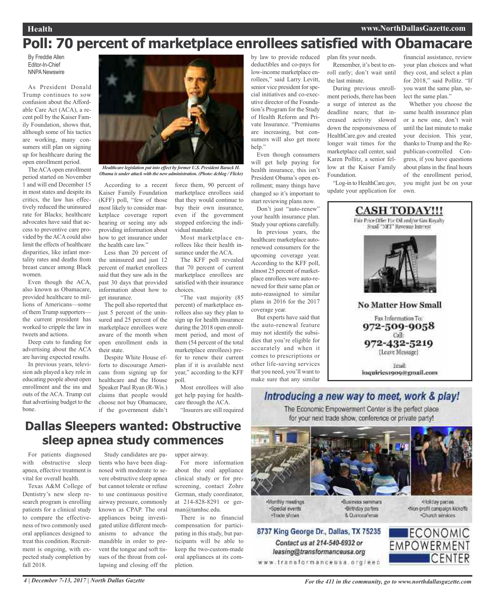## **Poll: 70 percent of marketplace enrollees satisfied with Obamacare**

By Freddie Allen Editor-In-Chief NNPA Newswire

As President Donald Trump continues to sow confusion about the Affordable Care Act (ACA), a recent poll by the Kaiser Family Foundation, shows that, although some of his tactics are working, many consumers still plan on signing up for healthcare during the open enrollment period.

TheACAopen enrollment period started on November 1 and will end December 15 in most states and despite its critics, the law has effectively reduced the uninsured rate for Blacks; healthcare advocates have said that access to preventive care provided by the ACA could also limit the effects of healthcare disparities, like infant mortality rates and deaths from breast cancer among Black women.

Even though the ACA, also known as Obamacare, provided healthcare to millions of Americans—some of them Trump supporters the current president has worked to cripple the law in tweets and actions.

Deep cuts to funding for advertising about the ACA are having expected results.

In previous years, television ads played a key role in educating people about open enrollment and the ins and outs of the ACA. Trump cut that advertising budget to the bone.



*Healthcare legislation put into effect by former U.S. President Barack H. Obama is under attack with the new administration. (Photo: dcblog / Flickr)*

According to a recent Kaiser Family Foundation (KFF) poll, "few of those most likely to consider marketplace coverage report hearing or seeing any ads providing information about how to get insurance under the health care law."

Less than 20 percent of the uninsured and just 12 percent of market enrollees said that they saw ads in the past 30 days that provided information about how to get insurance.

The poll also reported that just 5 percent of the uninsured and 25 percent of the marketplace enrollees were aware of the month when open enrollment ends in their state.

Despite White House efforts to discourage Americans from signing up for healthcare and the House Speaker Paul Ryan (R-Wis.) claims that people would choose not buy Obamacare, if the government didn't

force them, 90 percent of marketplace enrollees said that they would continue to buy their own insurance, even if the government stopped enforcing the individual mandate.

Most marketplace enrollees like their health insurance under the ACA.

The KFF poll revealed that 70 percent of current marketplace enrollees are satisfied with their insurance choices.

"The vast majority (85 percent) of marketplace enrollees also say they plan to sign up for health insurance during the 2018 open enrollment period, and most of them (54 percent of the total marketplace enrollees) prefer to renew their current plan if it is available next year," according to the KFF poll.

Most enrollees will also get help paying for healthcare through the ACA.

"Insurers are still required

#### by law to provide reduced deductibles and co-pays for low-income marketplace enrollees," said Larry Levitt, senior vice president for special initiatives and co-executive director of the Foundation's Program for the Study of Health Reform and Private Insurance. "Premiums are increasing, but consumers will also get more help."

Even though consumers will get help paying for health insurance, this isn't President Obama's open enrollment; many things have changed so it's important to start reviewing plans now.

Don't just "auto-renew" your health insurance plan. Study your options carefully.

In previous years, the healthcare marketplace autorenewed consumers for the upcoming coverage year. According to the KFF poll, almost 25 percent of marketplace enrollees were auto-renewed for their same plan or auto-reassigned to similar plans in 2016 for the 2017 coverage year.

But experts have said that the auto-renewal feature may not identify the subsidies that you're eligible for accurately and when it comes to prescriptions or other life-saving services that you need, you'll want to make sure that any similar

plan fits your needs. Remember, it's best to enroll early; don't wait until the last minute.

During previous enrollment periods, there has been a surge of interest as the deadline nears; that increased activity slowed down the responsiveness of HealthCare.gov and created longer wait times for the marketplace call center, said Karen Pollitz, a senior fellow at the Kaiser Family Foundation.

"Log-in to HealthCare.gov, update your application for

financial assistance, review your plan choices and what they cost, and select a plan for 2018," said Pollitz. "If you want the same plan, select the same plan."

Whether you choose the same health insurance plan or a new one, don't wait until the last minute to make your decision. This year, thanks to Trump and the Republican-controlled Congress, if you have questions about plans in the final hours of the enrollment period, you might just be on your own.



Introducing a new way to meet, work & play!

The Economic Empowerment Center is the perfect place. for your next trade show, conference or private party!



**Monthly meetings** ·Special events · Trade shows

Contact us at 214-540-6932 or

leasing@transformanceusa.org

**Business seminars** ·Birthday parties 8 Currosafena

Holday parties -Non-profit compaign kickoffs -Church services



### **Dallas Sleepers wanted: Obstructive sleep apnea study commences** For patients diagnosed upper airway.

with obstructive sleep apnea, effective treatment is vital for overall health.

Texas A&M College of Dentistry's new sleep research program is enrolling patients for a clinical study to compare the effectiveness of two commonly used oral appliances designed to treat this condition. Recruitment is ongoing, with expected study completion by fall 2018.

Study candidates are patients who have been diagnosed with moderate to severe obstructive sleep apnea but cannot tolerate or refuse to use continuous positive airway pressure, commonly known as CPAP. The oral appliances being investigated utilize different mechanisms to advance the mandible in order to prevent the tongue and soft tissues of the throat from collapsing and closing off the

For more information about the oral appliance clinical study or for prescreening, contact Zohre German, study coordinator, at 214-828-8291 or german@tamhsc.edu.

There is no financial compensation for participating in this study, but participants will be able to keep the two-custom-made oral appliances at its completion.

4 | December 7-13, 2017 | North Dallas Gazette For the 411 in the community, go to www.northdallasgazette.com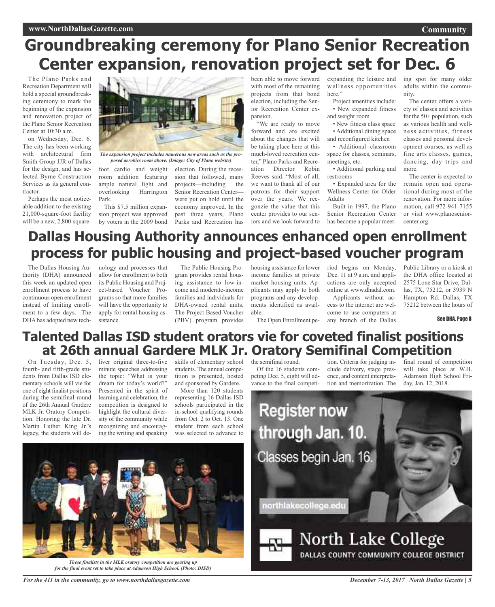## **Groundbreaking ceremony for Plano Senior Recreation Center expansion, renovation project set for Dec. 6**

The Plano Parks and Recreation Department will hold a special groundbreaking ceremony to mark the beginning of the expansion and renovation project of the Plano Senior Recreation Center at 10:30 a.m.

on Wednesday, Dec. 6. The city has been working with architectural firm Smith Group JJR of Dallas for the design, and has selected Byrne Construction Services as its general contractor.

Perhaps the most noticeable addition to the existing 21,000-square-foot facility will be a new, 2,800-square-



*The expansion project includes numerous new areas such as the proposed aerobics room above. (Image: City of Plano website)*

foot cardio and weight room addition featuring ample natural light and overlooking Harrington Park.

This \$7.5 million expansion project was approved by voters in the 2009 bond election. During the recession that followed, many projects—including the Senior Recreation Center were put on hold until the economy improved. In the past three years, Plano Parks and Recreation has

been able to move forward with most of the remaining projects from that bond election, including the Senior Recreation Center expansion.

"We are ready to move forward and are excited about the changes that will be taking place here at this much-loved recreation center," Plano Parks and Recreation Director Robin Reeves said. "Most of all, we want to thank all of our patrons for their support over the years. We recgonzie the value that this center provides to our seniors and we look forward to expanding the leisure and wellness opportunities here."

Project amenities include: • New expanded fitness

- and weight room
- New fitness class space • Additional dining space
- and reconfigured kitchen • Additional classroom

space for classes, seminars, meetings, etc.

• Additional parking and restrooms

• Expanded area for the Wellness Center for Older Adults

Built in 1997, the Plano Senior Recreation Center has become a popular meeting spot for many older adults within the community.

**Community**

The center offers a variety of classes and activities for the 50+ population, such as various health and wellness activities, fitness classes and personal development courses, as well as fine arts classes, games, dancing, day trips and more.

The center is expected to remain open and operational during most of the renovation. For more information, call 972-941-7155 or visit www.planoseniorcenter.org.

## **Dallas Housing Authority announces enhanced open enrollment process for public housing and project-based voucher program**

The Dallas Housing Authority (DHA) announced this week an updated open enrollment process to have continuous open enrollment instead of limiting enrollment to a few days. The DHA has adopted new tech-

nology and processes that allow for enrollment to both its Public Housing and Project-based Voucher Programs so that more families will have the opportunity to apply for rental housing assistance.

The Public Housing Program provides rental housing assistance to low-income and moderate-income families and individuals for DHA-owned rental units. The Project Based Voucher (PBV) program provides

housing assistance for lower income families at private market housing units. Applicants may apply to both programs and any developments identified as available.

The Open Enrollment pe-

riod begins on Monday, Dec. 11 at 9 a.m. and applications are only accepted online at www.dhadal.com.

Applicants without access to the internet are welcome to use computers at any branch of the Dallas

Public Library or a kiosk at the DHA office located at 2575 Lone Star Drive, Dallas, TX, 75212, or 3939 N Hampton Rd. Dallas, TX 75212 between the hours of

#### See DHA, Page 8

### **Talented Dallas ISD student orators vie for coveted finalist positions at 26th annual Gardere MLK Jr. Oratory Semifinal Competition**

On Tuesday, Dec. 5, fourth- and fifth-grade students from Dallas ISD elementary schools will vie for one of eight finalist positions during the semifinal round of the 26th Annual Gardere MLK Jr. Oratory Competition. Honoring the late Dr. Martin Luther King Jr.'s legacy, the students will de-

liver original three-to-five minute speeches addressing the topic: "What is your dream for today's world?" Presented in the spirit of learning and celebration, the competition is designed to highlight the cultural diversity of the community while recognizing and encouraging the writing and speaking

skills of elementary school students. The annual competition is presented, hosted and sponsored by Gardere.

More than 120 students representing 16 Dallas ISD schools participated in the in-school qualifying rounds from Oct. 2 to Oct. 13. One student from each school was selected to advance to

the semifinal round. Of the 16 students competing Dec. 5, eight will advance to the final competition. Criteria for judging include delivery, stage presence, and content interpretation and memorization. The final round of competition will take place at W.H. Adamson High School Friday, Jan. 12, 2018.





*for the final event set to take place at Adamson High School. (Photo: DISD)*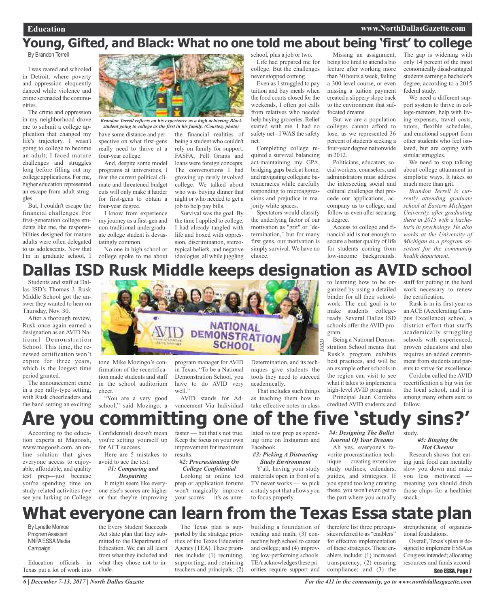### **Young, Gifted, and Black: What no one told me about being 'first' to college**

By Brandon Terrell

I was reared and schooled in Detroit, where poverty and oppression eloquently danced while violence and crime serenaded the communities.

The crime and oppression in my neighborhood drove me to submit a college application that changed my life's trajectory. I wasn't going to college to become an adult; I faced mature challenges and struggles long before filling out my college applications. For me, higher education represented an escape from adult struggles.

But, I couldn't escape the financial challenges. For first-generation college students like me, the responsibilities designed for mature adults were often delegated to us adolescents. Now that I'm in graduate school, I



really need to thrive at a four-year college.

And, despite some model programs at universities, I fear the current political climate and threatened budget cuts will only make it harder for first-gens to obtain a four-year degree.

I know from experience my journey as a first-gen and non-traditional undergraduate college student is devastatingly common. No one in high school or

college spoke to me about typical beliefs, and negative ideologies, all while juggling

school, plus a job or two.

Life had prepared me for college. But the challenges never stopped coming. Even as I struggled to pay

tuition and buy meals when the food courts closed for the weekends, I often got calls from relatives who needed help buying groceries. Relief started with me. I had no safety net - I WAS the safety net.

Completing college required a survival balancing act-maintaining my GPA, bridging gaps back at home, and navigating collegiate bureaucracies while carefully responding to microaggressions and prejudice in majority white spaces.

Spectators would classify the underlying factor of our motivation as "grit" or "determination," but for many first gens, our motivation is simply survival. We have no choice.

Missing an assignment, being too tired to attend a bio lecture after working more than 30 hours a week, failing a 300 level course, or even missing a tuition payment created a slippery slope back to the environment that suffocated dreams.

But we are a population colleges cannot afford to lose, as we represented 36 percent of students seeking a four-year degree nationwide in 2012.

Politicians, educators, social workers, counselors, and administrators must address the intersecting social and cultural challenges that precede our applications, accompany us to college, and follow us even after securing a degree.

Access to college and financial aid is not enough to secure a better quality of life for students coming from low-income backgrounds.

The gap is widening with only 14 percent of the most economically disadvantaged students earning a bachelor's degree, according to a 2015 federal study.

We need a different support system to thrive in college-mentors, help with living expenses, travel costs, tutors, flexible schedules, and emotional support from other students who feel isolated, but are coping with similar struggles.

We need to stop talking about college attainment in simplistic ways. It takes so much more than grit.

*Brandon Terrell is currently attending graduate school at Eastern Michigan University, after graduating there in 2015 with a bachelor's in psychology. He also works at the University of Michigan as a program assistant for the community health department.*

### **Dallas ISD Rusk Middle keeps designation as AVID school**

Students and staff at Dallas ISD's Thomas J. Rusk Middle School got the answer they wanted to hear on Thursday, Nov. 30.

After a thorough review, Rusk once again earned a designation as an AVID National Demonstration School. This time, the renewed certification won't expire for three years, which is the longest time period granted.

The announcement came in a pep rally-type setting, with Rusk cheerleaders and the band setting an exciting



FASFA, Pell Grants and loans were foreign concepts. The conversations I had growing up rarely involved college. We talked about who was buying dinner that night or who needed to get a job to help pay bills.

Survival was the goal. By the time I applied to college, I had already tangled with life and boxed with oppression, discrimination, stereo-

tone. Mike Mozingo's confirmation of the recertification made students and staff in the school auditorium cheer.

"You are a very good school," said Mozingo, a

program manager for AVID in Texas. "To be a National Demonstration School, you have to do AVID very well."

AVID stands for Advancement Via Individual Determination, and its techniques give students the tools they need to succeed academically.

*DISD*

That includes such things as teaching them how to take effective notes in class

to learning how to be organized by using a detailed binder for all their schoolwork. The end goal is to make students collegeready. Several Dallas ISD schools offer the AVID program.

Being a National Demonstration School means that Rusk's program exhibits best practices, and will be an example other schools in the region can visit to see what it takes to implement a high-level AVID program.

Principal Juan Cordoba credited AVID students and staff for putting in the hard work necessary to renew the certification.

Rusk is in its first year as an ACE (Accelerating Campus Excellence) school, a district effort that staffs academically struggling schools with experienced, proven educators and also requires an added commitment from students and parents to strive for excellence.

Cordoba called the AVID recertification a big win for the local school, and it is among many others sure to follow.

# **Are you committing one of the five 'study sins?'**

According to the education experts at Magoosh, www.magoosh.com, an online solution that gives everyone access to enjoyable, affordable, and quality test prep—just because you're spending time on study-related activities (we see you lurking on College Confidential) doesn't mean you're setting yourself up for ACT success.

Here are 5 mistakes to avoid to ace the test:

#### *#1: Comparing and Despairing*

It might seem like everyone else's scores are higher or that they're improving

faster — but that's not true. Keep the focus on your own improvement for maximum results.

*#2: Procrastinating On College Confidential*

Looking at online test prep or application forums won't magically improve your scores — it's as unrelated to test prep as spending time on Instagram and Facebook.

*#3: Picking A Distracting Study Environment*

Y'all, having your study materials open in front of a TV never works — so pick a study spot that allows you to focus properly.

#### *#4: Designing The Bullet Journal Of Your Dreams*

Ah yes, everyone's favorite procrastination technique — creating extensive study outlines, calendars, guides, and strategies. If you spend too long creating these, you won't even get to the part where you actually

study.

*#5: Binging On Hot Cheetos*

Research shows that eating junk food can mentally slow you down and make you less motivated meaning you should ditch those chips for a healthier snack.

## **What everyone can learn from the Texas Essa state plan**

By Lynette Monroe Program Assistant NNPA ESSAMedia Campaign

Education officials in Texas put a lot of work into

the Every Student Succeeds Act state plan that they submitted to the Department of Education. We can all learn from what they included and what they chose not to include.

The Texas plan is supported by the strategic priorities of the Texas Education Agency (TEA). These priorities include: (1) recruiting, supporting, and retaining teachers and principals; (2)

building a foundation of reading and math; (3) connecting high school to career and college; and (4) improving low-performing schools. TEA acknowledges these priorities require support and

therefore list three prerequisites referred to as "enablers" for effective implementation of these strategies. These enablers include: (1) increased transparency; (2) ensuring compliance; and (3) the

strengthening of organizational foundations.

Overall, Texas's plan is designed to implement ESSAas Congressintended; allocating resources and funds accord-See ESSA, Page 7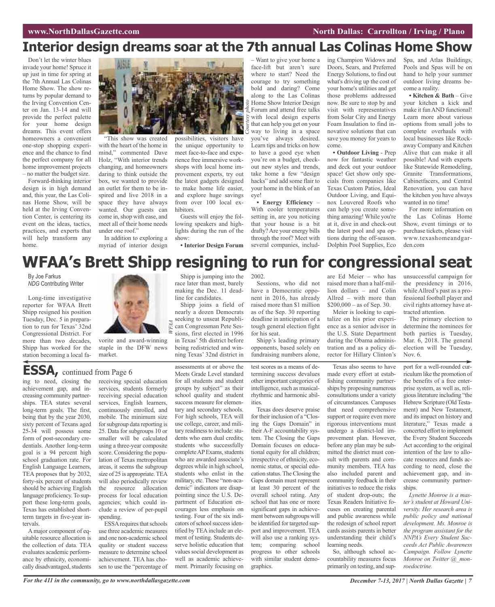### **WWW.NorthDallasGazette.com** *Entertainment* **<b>Carrollton** *Entertainment**North Dallas: Carrollton* **/ Irving / Plano**

### **Interior design dreams soar at the 7th annual Las Colinas Home Show**

*photo*

Don't let the winter blues invade your home! Spruce it up just in time for spring at the 7th Annual Las Colinas Home Show. The show returns by popular demand to the Irving Convention Center on Jan. 13-14 and will provide the perfect palette for your home design dreams. This event offers homeowners a convenient one-stop shopping experience and the chance to find the perfect company for all home improvement projects – no matter the budget size.

Forward-thinking interior design is in high demand and, this year, the Las Colinas Home Show, will be held at the Irving Convention Center, is centering its event on the ideas, tactics, practices, and experts that will help transform any home.



"This show was created with the heart of the home in mind," commented Dave Holz, "With interior trends changing, and homeowners daring to think outside the box, we wanted to provide an outlet for them to be inspired and live 2018 in a space they have always wanted. Our guests can come in, shop with ease, and meet all of their home needs under one roof."

In addition to exploring a myriad of interior design

possibilities, visitors have the unique opportunity to meet face-to-face and experience free immersive workshops with local home improvement experts, try out the latest gadgets designed to make home life easier, and explore huge savings from over 100 local exhibitors. *Courtesy*

Guests will enjoy the following speakers and highlights during the run of the show:

**• Interior Design Forum**

– Want to give your home a face-lift but aren't sure where to start? Need the courage to try something bold and daring? Come along to the Las Colinas Home Show Interior Design Forum and attend free talks with local design experts that can help you get on your way to living in a space you've always desired. Learn tips and tricks on how to have a good eye when you're on a budget, checkout new styles and trends, take home a few "design hacks" and add some flair to your home in the blink of an eye!

**• Energy Efficiency** – With cooler temperatures setting in, are you noticing that your house is a bit drafty?Are your energy bills through the roof? Meet with several companies, including Champion Widows and Doors, Sears, and Preferred Energy Solutions, to find out what's driving up the cost of your home's utilities and get those problems addressed now. Be sure to stop by and visit with representatives from Solar City and Energy Foam Insulation to find innovative solutions that can save you money for years to come.

**• Outdoor Living** - Prep now for fantastic weather and deck out your outdoor space! Get show only specials from companies like Texas Custom Patios, Ideal Outdoor Living, and Equinox Louvered Roofs who can help you create something amazing! While you're at it, dive in and check-out the latest pool and spa options during the off-season. Dolphin Pool Supplies, Eco

Spa, and Atlas Buildings, Pools and Spas will be on hand to help your summer outdoor living dreams become a reality.

**• Kitchen & Bath** – Give your kitchen a kick and make it funAND functional! Learn more about various options from small jobs to complete overhauls with local businesses like Rockaway Company and Kitchen Alive that can make it all possible! And with experts like Statewide Remodeling, Granite Transformations, Cabinetfacers, and Central Renovation, you can have the kitchen you have always wanted in no time!

For more information on the Las Colinas Home Show, event timings or to purchase tickets, please visit www.texashomeandgarden.com

## **WFAA's Brett Shipp resigning to run for congressional seat**

By Joe Farkus *NDG* Contributing Writer

Long-time investigative reporter for WFAA Brett Shipp resigned his position Tuesday, Dec. 5 in preparation to run for Texas' 32nd Congressional District. For more than two decades, Shipp has worked for the station becoming a local fa-



vorite and award-winning staple in the DFW news market.

### **ESSA,** continued from Page <sup>6</sup>

ing to need, closing the achievement gap, and increasing community partnerships. TEA states several long-term goals. The first, being that by the year 2030, sixty percent of Texans aged 25-34 will possess some form of post-secondary credentials. Another long-term goal is a 94 percent high school graduation rate. For English Language Learners, TEA proposes that by 2032, forty-six percent of students should be achieving English language proficiency.To support these long-term goals, Texas has established shortterm targets in five-year intervals.

Amajor component of equitable resource allocation is the collection of data. TEA evaluates academic performance by ethnicity, economically disadvantaged, students

receiving special education services, students formerly receiving special education services, English learners, continuously enrolled, and

mobile. The minimum size for subgroup data reporting is 25. Data for subgroups 10 or smaller will be calculated using a three-year composite score. Considering the population of Texas metropolitan areas, it seems the subgroup size of 25 is appropriate. TEA will also periodically review the resource allocation process for local education agencies; which could include a review of per-pupil spending.

ESSA requires that schools use three academic measures and one non-academic school quality or student success measure to determine school achievement. TEA has chosen to use the "percentage of

Shipp is jumping into the race later than most, barely making the Dec. 11 deadline for candidates.

Shipp joins a field of nearly a dozen Democrats seeking to unseat Republican Congressman Pete Sessions, first elected in 1996 in Texas' 5th district before being redistricted and winning Texas' 32nd district in

*WFA A*

> assessments at or above the Meets Grade Level standard for all students and student groups by subject" as their school quality and student success measure for elementary and secondary schools. For high schools, TEA will use college, career, and military readiness to include: students who earn dual credits; students who successfully complete AP Exams, students who are awarded associate's degrees while in high school, students who enlist in the military, etc.These "non-academic" indicators are disappointing since the U.S. Department of Education encourages less emphasis on testing. Four of the six indicators of school success identified by TEA include an element of testing. Students deserve holistic education that values social development as well as academic achievement. Primarily focusing on

2002.

Sessions, who did not have a Democratic opponent in 2016, has already raised more than \$1 million as of the Sep. 30 reporting deadline in anticipation of a tough general election fight for his seat.

Shipp's leading primary opponents, based solely on fundraising numbers alone,

test scores as a means of determining success devalues other important categories of intelligence, such as musicalrhythmic and harmonic abilities.

Texas does deserve praise for their inclusion of a "Closing the Gaps Domain" in their A-F accountability system. The Closing the Gaps Domain focuses on educational equity for all children; irrespective of ethnicity, economic status, or special education status.The Closing the Gaps domain must represent at least 30 percent of the overall school rating. Any school that has one or more significant gaps in achievement between subgroups will be identified for targeted support and improvement. TEA will also use a ranking system; comparing school progress to other schools with similar student demographics.

are Ed Meier – who has raised more than a half-million dollars – and Colin Allred – with more than  $$200,000 - as of Sep. 30.$ 

Meier is looking to capitalize on his prior experience as a senior advisor in the U.S. State Department during the Obama administration and as a policy director for Hillary Clinton's

Texas also seems to have made every effort at establishing community partnerships by proposing numerous consultations under a variety of circumstances. Campuses that need comprehensive support or require even more rigorous interventions must undergo a district-led improvement plan. However, before any plan may be submitted the district must consult with parents and community members. TEA has also included parent and community feedback in their initiatives to reduce the risks of student drop-outs; the Texas Readers Initiative focuses on creating parental and public awareness while the redesign of school report cards assists parents in better understanding their child's learning needs.

So, although school accountability measures focus primarily on testing, and supunsuccessful campaign for the presidency in 2016, while Allred's past as a professional football player and civil rights attorney have attracted attention.

The primary election to determine the nominees for both parties is Tuesday, Mar. 6, 2018. The general election will be Tuesday, Nov. 6.

port for a well-rounded curriculum like the promotion of the benefits of a free enterprise system, as well as, religious literature including "the Hebrew Scripture (OldTestament) and New Testament, and its impact on history and literature." Texas made a concerted effort to implement the Every Student Succeeds Act according to the original intention of the law to allocate resources and funds according to need, close the achievement gap, and increase community partnerships. *Lynette Monroe is a mas-*

*ter's student at Howard University. Her research area is public policy and national development. Ms. Monroe is the program assistant for the NNPA's Every Student Succeeds Act Public Awareness Campaign. Follow Lynette Monroe on Twitter @\_monroedoctrine.*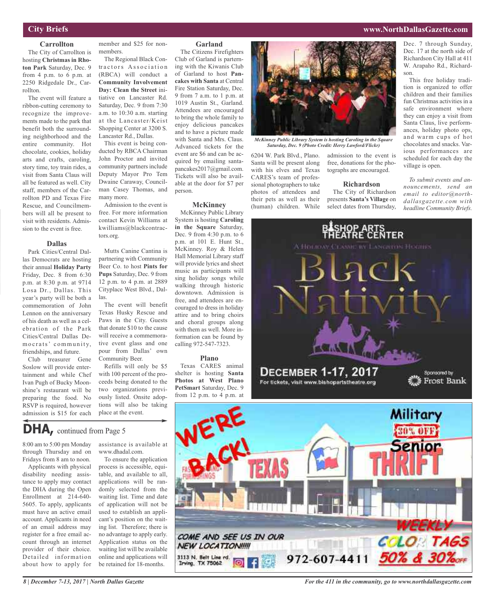### **City Briefs**

#### **Carrollton**

The City of Carrollton is hosting **Christmas in Rhoton Park** Saturday, Dec. 9 from 4 p.m. to 6 p.m. at 2250 Ridgedale Dr., Carrollton.

The event will feature a ribbon-cutting ceremony to recognize the improvements made to the park that benefit both the surrounding neighborhood and the entire community. Hot chocolate, cookies, holiday arts and crafts, caroling, story time, toy train rides, a visit from Santa Claus will all be featured as well. City staff, members of the Carrollton PD and Texas Fire Rescue, and Councilmembers will all be present to visit with residents. Admission to the event is free.

### **Dallas**

Park Cities/Central Dallas Democrats are hosting their annual **Holiday Party** Friday, Dec. 8 from 6:30 p.m. at 8:30 p.m. at 9714 Losa Dr., Dallas. This year's party will be both a commemoration of John Lennon on the anniversary of his death as well as a celebration of the Park Cities/Central Dallas Demo crats' community, friendships, and future.

Club treasurer Gene Soslow will provide entertainment and while Chef Ivan Pugh of Bucky Moonshine's restaurant will be preparing the food. No RSVP is required, however admission is \$15 for each

8:00 am to 5:00 pm Monday through Thursday and on Fridays from 8 am to noon. Applicants with physical disability needing assistance to apply may contact the DHA during the Open Enrollment at 214-640- 5605. To apply, applicants must have an active email account. Applicants in need of an email address may register for a free email account through an internet provider of their choice. Detailed information about how to apply for

**DHA,** continued from Page <sup>5</sup>

member and \$25 for nonmembers.

The Regional Black Contractors Association (RBCA) will conduct a **Community Involvement Day: Clean the Street** initiative on Lancaster Rd. Saturday, Dec. 9 from 7:30 a.m. to 10:30 a.m. starting at the Lancaster/Keist Shopping Center at 3200 S. Lancaster Rd., Dallas.

This event is being conducted by RBCA Chairman John Proctor and invited community partners include Deputy Mayor Pro Tem Dwaine Caraway, Councilman Casey Thomas, and many more.

Admission to the event is free. For more information contact Kevin Williams at kwilliams@blackcontractors.org.

Mutts Canine Cantina is partnering with Community Beer Co. to host **Pints for Pups** Saturday, Dec. 9 from 12 p.m. to 4 p.m. at 2889 Cityplace West Blvd., Dallas.

The event will benefit Texas Husky Rescue and Paws in the City. Guests that donate \$10 to the cause will receive a commemorative event glass and one pour from Dallas' own Community Beer.

Refills will only be \$5 with 100 percent of the proceeds being donated to the two organizations previously listed. Onsite adoptions will also be taking place at the event.

assistance is available at

To ensure the application process is accessible, equitable, and available to all, applications will be randomly selected from the waiting list. Time and date of application will not be used to establish an applicant's position on the waiting list. Therefore; there is no advantage to apply early. Application status on the waiting list will be available online and applications will be retained for 18-months.

www.dhadal.com.

### **Garland**

The Citizens Firefighters Club of Garland is parterning with the Kiwanis Club of Garland to host **Pancakes with Santa** at Central Fire Station Saturday, Dec. 9 from 7 a.m. to 1 p.m. at 1019 Austin St., Garland. Attendees are encouraged to bring the whole family to enjoy delicious pancakes and to have a picture made with Santa and Mrs. Claus. Advanced tickets for the event are \$6 and can be acquired by emailing santapancakes2017@gmail.com. Tickets will also be available at the door for \$7 per person.

#### **McKinney**

McKinney Public Library System is hosting **Caroling in the Square** Saturday, Dec. 9 from 4:30 p.m. to 6 p.m. at 101 E. Hunt St., McKinney. Roy & Helen Hall Memorial Library staff will provide lyrics and sheet music as participants will sing holiday songs while walking through historic downtown. Admission is free, and attendees are encouraged to dress in holiday attire and to bring choirs and choral groups along with them as well. More information can be found by calling 972-547-7323.

#### **Plano**

Texas CARES animal shelter is hosting **Santa Photos at West Plano PetSmart** Saturday, Dec. 9 from  $12$  p.m. to  $4$  p.m. at



*McKinney Public Library System is hosting Caroling in the Square Saturday, Dec. 9 (Photo Credit: Herry Lawford/Flickr)*

6204 W. Park Blvd., Plano. admission to the event is Santa will be present along with his elves and Texas CARES's team of professional photographers to take photos of attendees and their pets as well as their (human) children. While

free, donations for the photographs are encouraged.

#### **Richardson**

The City of Richardson presents **Santa's Village** on select dates from Thursday,

Dec. 7 through Sunday, Dec. 17 at the north side of Richardson City Hall at 411 W. Arapaho Rd., Richardson.

This free holiday tradition is organized to offer children and their families fun Christmas activities in a safe environment where they can enjoy a visit from Santa Claus, live performances, holiday photo ops, and warm cups of hot chocolates and snacks. Various performances are scheduled for each day the village is open.

*To submit events and announcements, send an email to editor@northdallasgazette.com with headline Community Briefs.*





*8 | December 7-13, 2017 | North Dallas Gazette*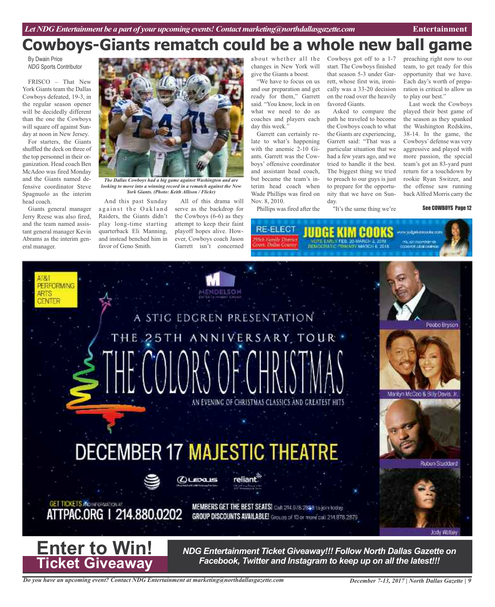# **Cowboys-Giants rematch could be a whole new ball game**

By Dwain Price *NDG* Sports Contributor

FRISCO – That New York Giants team the Dallas Cowboys defeated, 19-3, in the regular season opener will be decidedly different than the one the Cowboys will square off against Sunday at noon in New Jersey.

For starters, the Giants shuffled the deck on three of the top personnel in their organization. Head coach Ben McAdoo was fired Monday and the Giants named defensive coordinator Steve Spagnuolo as the interim head coach.

Giants general manager Jerry Reese was also fired, and the team named assistant general manager Kevin Abrams as the interim general manager.



*The Dallas Cowboys had a big game against Washington and are looking to move into a winning record in a rematch against the New York Giants. (Photo: Keith Allison / Flickr)*

And this past Sunday against the Oakland Raiders, the Giants didn't play long-time starting quarterback Eli Manning, and instead benched him in favor of Geno Smith.

All of this drama will serve as the backdrop for the Cowboys (6-6) as they attempt to keep their faint playoff hopes alive. However, Cowboys coach Jason Garrett isn't concerned

about whether all the changes in New York will give the Giants a boost.

"We have to focus on us and our preparation and get ready for them," Garrett said. "You know, lock in on what we need to do as coaches and players each day this week."

Garrett can certainly relate to what's happening with the anemic 2-10 Giants. Garrett was the Cowboys' offensive coordinator and assistant head coach, but became the team's interim head coach when Wade Phillips was fired on Nov. 8, 2010.

Phillips was fired after the

Cowboys got off to a 1-7 start. The Cowboys finished that season 5-3 under Garrett, whose first win, ironically was a 33-20 decision on the road over the heavily favored Giants.

Asked to compare the path he traveled to become the Cowboys coach to what the Giants are experiencing, Garrett said: "That was a particular situation that we had a few years ago, and we tried to handle it the best. The biggest thing we tried to preach to our guys is just to prepare for the opportunity that we have on Sunday.

"It's the same thing we're

preaching right now to our team, to get ready for this opportunity that we have. Each day's worth of preparation is critical to allow us to play our best."

Last week the Cowboys played their best game of the season as they spanked the Washington Redskins, 38-14. In the game, the Cowboys' defense was very aggressive and played with more passion, the special team's got an 83-yard punt return for a touchdown by rookie Ryan Switzer, and the offense saw running backAlfred Morris carry the

See COWBOYS Page 12

**RE-ELECT** TIRICE KIM COD



*Do you have an upcoming event? Contact NDG Entertainment at marketing@northdallasgazette.com*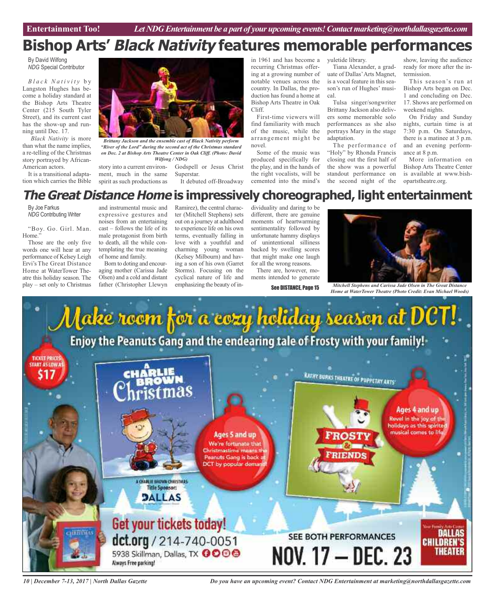## **Bishop Arts' Black Nativity features memorable performances**

By David Wilfong *NDG* Special Contributor

*B l a c k N a t i v i t y* b y Langston Hughes has become a holiday standard at the Bishop Arts Theatre Center (215 South Tyler Street), and its current cast has the show-up and running until Dec. 17.

*Black Nativity* is more than what the name implies, a re-telling of the Christmas story portrayed by African-American actors.

It is a transitional adaptation which carries the Bible



*Brittany Jackson and the ensemble cast of Black Nativity perform "River of the Lord" during the second act of the Christmas standard on Dec. 2 at Bishop Arts Theatre Center in Oak Cliff. (Photo: David Wilfong / NDG)*

story into a current environment, much in the same spirit as such productions as

Godspell or Jesus Christ Superstar.

It debuted off-Broadway

in 1961 and has become a recurring Christmas offering at a growing number of notable venues across the country. In Dallas, the production has found a home at Bishop Arts Theatre in Oak Cliff.

First-time viewers will find familiarity with much of the music, while the arrangement might be novel.

Some of the music was produced specifically for the play, and in the hands of the right vocalists, will be cemented into the mind's

yuletide library. Tiana Alexander, a graduate of Dallas'Arts Magnet, is a vocal feature in this season's run of Hughes' musi-

cal. Tulsa singer/songwriter Brittany Jackson also delivers some memorable solo performances as she also portrays Mary in the stage adaptation.

The performance of "Holy" by Rhonda Francis closing out the first half of the show was a powerful standout performance on the second night of the

show, leaving the audience ready for more after the intermission.

This season's run at Bishop Arts began on Dec. 1 and concluding on Dec. 17. Shows are performed on weekend nights.

On Friday and Sunday nights, curtain time is at 7:30 p.m. On Saturdays, there is a matinee at 3 p.m. and an evening performance at 8 p.m.

More information on Bishop Arts Theatre Center is available at www.bishopartstheatre.org.

### **The Great Distance Home is impressively choreographed, light entertainment**

By Joe Farkus *NDG* Contributing Writer

"Boy. Go. Girl. Man. Home.'

Those are the only five words one will hear at any performance of Kelsey Leigh Ervi's The Great Distance Home at WaterTower Theatre this holiday season. The play – set only to Christmas

and instrumental music and expressive gestures and noises from an entertaining cast – follows the life of its male protagonist from birth to death, all the while contemplating the true meaning of home and family.

Born to doting and encouraging mother (Carissa Jade Olsen) and a cold and distant father (Christopher Llewyn

Ramirez), the central character (Mitchell Stephens) sets out on a journey at adulthood to experience life on his own terms, eventually falling in love with a youthful and charming young woman (Kelsey Milbourn) and having a son of his own (Garret Storms). Focusing on the cyclical nature of life and emphasizing the beauty of in-

dividuality and daring to be different, there are genuine moments of heartwarming sentimentality followed by unfortunate hammy displays of unintentional silliness backed by swelling scores that might make one laugh for all the wrong reasons.

There are, however, moments intended to generate



*Mitchell Stephens and Carissa Jade Olsen in The Great Distance Home at WaterTower Theatre (Photo Credit: Evan Michael Woods)* See DISTANCE, Page <sup>15</sup>



*10 | December 7-13, 2017 | North Dallas Gazette*

*Do you have an upcoming event? Contact NDG Entertainment at marketing@northdallasgazette.com*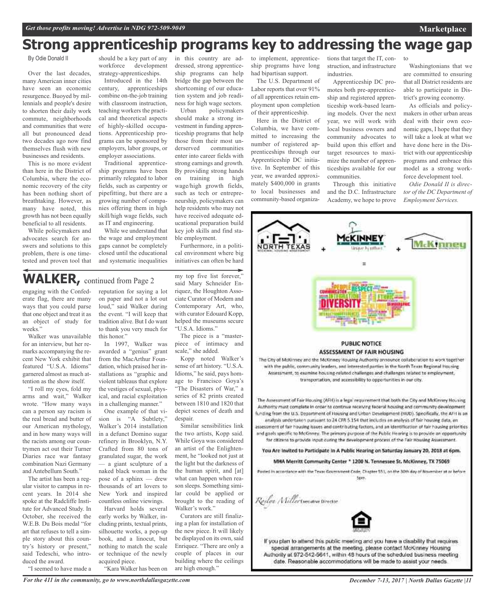## **Strong apprenticeship programs key to addressing the wage gap**

By Odie Donald II

Over the last decades, many American inner cities have seen an economic resurgence. Buoyed by millennials and people's desire to shorten their daily work commute, neighborhoods and communities that were all but pronounced dead two decades ago now find themselves flush with new businesses and residents.

This is no more evident than here in the District of Columbia, where the economic recovery of the city has been nothing short of breathtaking. However, as many have noted, this growth has not been equally beneficial to all residents.

While policymakers and advocates search for answers and solutions to this problem, there is one timetested and proven tool that

should be a key part of any workforce development strategy-apprenticeships.

Introduced in the 14th century, apprenticeships combine on-the-job training with classroom instruction, teaching workers the practical and theoretical aspects of highly-skilled occupations. Apprenticeship programs can be sponsored by employers, labor groups, or employer associations.

Traditional apprenticeship programs have been primarily relegated to labor fields, such as carpentry or pipefitting, but there are a growing number of companies offering them in high skill/high wage fields, such as IT and engineering.

While we understand that the wage and employment gaps cannot be completely closed until the educational and systematic inequalities in this country are addressed, strong apprenticeship programs can help bridge the gap between the shortcoming of our education system and job readiness for high wage sectors.

Urban policymakers should make a strong investment in funding apprenticeship programs that help those from their most un-<br>derserved communities communities enter into career fields with strong earnings and growth. By providing strong hands on training in high wage/high growth fields, such as tech or entrepreneurship, policymakers can help residents who may not have received adequate educational preparation build key job skills and find stable employment.

Furthermore, in a political environment where big initiatives can often be hard

### **WALKER,** continued from Page <sup>2</sup>

engaging with the Confederate flag, there are many ways that you could parse that one object and treat it as an object of study for weeks."

Walker was unavailable for an interview, but her remarks accompanying the recent New York exhibit that featured "U.S.A. Idioms" garnered almost as much attention as the show itself.

"I roll my eyes, fold my arms and wait," Walker wrote. "How many ways can a person say racism is the real bread and butter of our American mythology, and in how many ways will the racists among our countrymen act out their Turner Diaries race war fantasy combination Nazi Germany and Antebellum South."

The artist has been a regular visitor to campus in recent years. In 2014 she spoke at the Radcliffe Institute for Advanced Study. In October, she received the W.E.B. Du Bois medal "for art that refuses to tell a simple story about this country's history or present," said Tedeschi, who introduced the award. "I seemed to have made a

reputation for saying a lot on paper and not a lot out loud," said Walker during the event. "I will keep that tradition alive. But I do want to thank you very much for this honor."

In 1997, Walker was awarded a "genius" grant from the MacArthur Foundation, which praised her installations as "graphic and violent tableaus that explore the vestiges of sexual, physical, and racial exploitation in a challenging manner."

One example of that vision is "A Subtlety," Walker's 2014 installation in a defunct Domino sugar refinery in Brooklyn, N.Y. Crafted from 80 tons of granulated sugar, the work — a giant sculpture of a naked black woman in the pose of a sphinx — drew thousands of art lovers to New York and inspired countless online viewings.

Harvard holds several early works by Walker, including prints, textual prints, silhouette works, a pop-up book, and a linocut, but nothing to match the scale or technique of the newly acquired piece.

"Kara Walker has been on

my top five list forever," said Mary Schneider Enriquez, the Houghton Associate Curator of Modern and Contemporary Art, who, with curator Edouard Kopp, helped the museums secure "U.S.A. Idioms."

The piece is a "masterpiece of intimacy and scale," she added.

Kopp noted Walker's sense of art history. "U.S.A. Idioms," he said, pays homage to Francisco Goya's "The Disasters of War," a series of 82 prints created between 1810 and 1820 that depict scenes of death and despair.

Similar sensibilities link the two artists, Kopp said. While Goya was considered an artist of the Enlightenment, he "looked not just at the light but the darkness of the human spirit, and [at] what can happen when reason sleeps. Something similar could be applied or brought to the reading of Walker's work."

Curators are still finalizing a plan for installation of the new piece. It will likely be displayed on its own, said Enriquez. "There are only a couple of places in our building where the ceilings are high enough."

to implement, apprenticeship programs have long had bipartisan support.

The U.S. Department of Labor reports that over 91% of all apprentices retain employment upon completion of their apprenticeship.

Here in the District of Columbia, we have committed to increasing the number of registered apprenticeships through our Apprenticeship DC initiative. In September of this year, we awarded approximately \$400,000 in grants to local businesses and community-based organizations that target the IT, construction, and infrastructure industries.

Apprenticeship DC promotes both pre-apprenticeship and registered apprenticeship work-based learning models. Over the next year, we will work with local business owners and community advocates to build upon this effort and target resources to maximize the number of apprenticeships available for our communities.

Through this initiative and the D.C. Infrastructure Academy, we hope to prove

Washingtonians that we are committed to ensuring that all District residents are able to participate in District's growing economy.

**Marketplace**

to

As officials and policymakers in other urban areas deal with their own economic gaps, I hope that they will take a look at what we have done here in the District with our apprenticeship programs and embrace this model as a strong workforce development tool.

*Odie Donald II is director of the DC Department of Employment Services.*

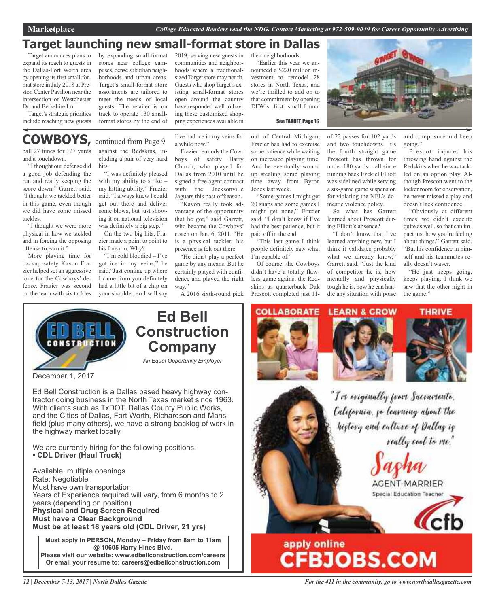### **Target launching new small-format store in Dallas**

Target announces plans to expand its reach to guests in the Dallas-Fort Worth area by opening its first small-formatstore in July 2018 at Preston Center Pavilion near the intersection of Westchester Dr. and Berkshire Ln.

Target's strategic priorities include reaching new guests

by expanding small-format stores near college campuses, dense suburban neighborhoods and urban areas. Target's small-format store assortments are tailored to meet the needs of local guests. The retailer is on track to operate 130 smallformat stores by the end of

2019, serving new guests in communities and neighborhoods where a traditionalsized Target store may not fit. Guests who shop Target's existing small-format stores open around the country have responded well to having these customized shopping experiences available in

their neighborhoods. "Earlier this year we an-

nounced a \$220 million investment to remodel 28 stores in North Texas, and we're thrilled to add on to that commitment by opening DFW's first small-format

See TARGET, Page 16



and composure and keep going."

Prescott injured his throwing hand against the Redskins when he was tackled on an option play. Although Prescott went to the locker room for observation, he never missed a play and doesn't lack confidence.

"Obviously at different times we didn't execute quite as well, so that can impact just how you're feeling about things," Garrett said. "But his confidence in himself and his teammates really doesn't waver.

"He just keeps going, keeps playing. I think we saw that the other night in the game."



## **COWBOYS,** continued from Page <sup>9</sup>

ball 27 times for 127 yards and a touchdown.

"I thought our defense did a good job defending the run and really keeping the score down," Garrett said. "I thought we tackled better in this game, even though we did have some missed tackles.

"I thought we were more physical in how we tackled and in forcing the opposing offense to earn it."

More playing time for backup safety Kavon Frazier helped set an aggressive tone for the Cowboys' defense. Frazier was second on the team with six tackles against the Redskins, including a pair of very hard hits.

"I was definitely pleased with my ability to strike – my hitting ability," Frazier said. "I always knew I could get out there and deliver some blows, but just showing it on national television was definitely a big step."

On the two big hits, Frazier made a point to point to his forearm. Why?

"I'm cold bloodied – I've got ice in my veins," he said."Just coming up where I came from you definitely had a little bit of a chip on your shoulder, so I will say

a while now." Frazier reminds the Cowboys of safety Barry Church, who played for Dallas from 2010 until he signed a free agent contract

I've had ice in my veins for

"Kavon really took advantage of the opportunity that he got," said Garrett, who became the Cowboys' coach on Jan. 6, 2011. "He

"He didn't play a perfect game by any means. But he certainly played with confidence and played the right

out of Central Michigan, Frazier has had to exercise some patience while waiting on increased playing time. And he eventually wound up stealing some playing time away from Byron Jones last week.

"Some games I might get 20 snaps and some games I might get none," Frazier said. "I don't know if I've had the best patience, but it paid off in the end.

"This last game I think people definitely saw what I'm capable of."

Of course, the Cowboys didn't have a totally flawless game against the Redskins as quarterback Dak Prescott completed just 11-





of-22 passes for 102 yards and two touchdowns. It's the fourth straight game Prescott has thrown for under 180 yards – all since running back Ezekiel Elliott was sidelined while serving a six-game game suspension for violating the NFL's domestic violence policy. So what has Garrett learned about Prescott during Elliott's absence?

"I don't know that I've learned anything new, but I think it validates probably what we already know," Garrett said. "Just the kind of competitor he is, how mentally and physically tough he is, how he can handle any situation with poise



"I've eviginally from Sacramente. California, go learning about the history and culture of Dallas is really cool to me."

AGENT-MARRIER

Special Education Teacher



### *12 | December 7-13, 2017 | North Dallas Gazette*

with the Jacksonville

Jaguars this past offseason. is a physical tackler, his presence is felt out there.

way."

A 2016 sixth-round pick



### **Ed Bell Construction Company**

*An Equal Opportunity Employer*

December 1, 2017

Ed Bell Construction is a Dallas based heavy highway contractor doing business in the North Texas market since 1963. With clients such as TxDOT, Dallas County Public Works, and the Cities of Dallas, Fort Worth, Richardson and Mansfield (plus many others), we have a strong backlog of work in the highway market locally.

We are currently hiring for the following positions: **• CDL Driver (Haul Truck)**

Available: multiple openings Rate: Negotiable Must have own transportation Years of Experience required will vary, from 6 months to 2 years (depending on position) **Physical and Drug Screen Required Must have a Clear Background Must be at least 18 years old (CDL Driver, 21 yrs)**

**Must apply in PERSON, Monday – Friday from 8am to 11am @ 10605 Harry Hines Blvd. Please visit our website: www.edbellconstruction.com/careers Or email your resume to: careers@edbellconstruction.com**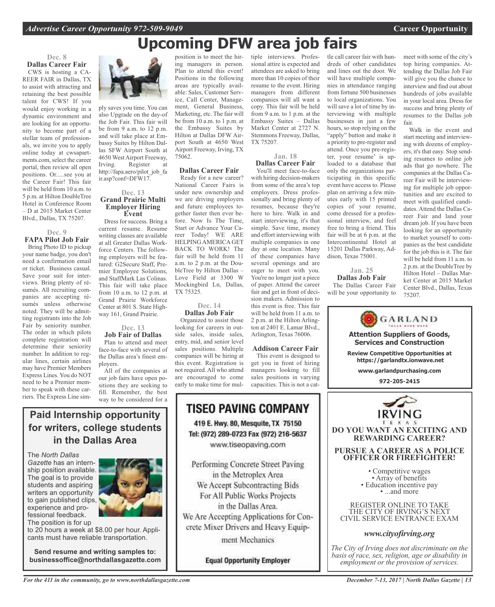## **Upcoming DFW area job fairs**

TX 75207.

**Jan. 18 Dallas Career Fair**

day at one location. Many of these companies have several openings and are eager to meet with you. You're no longer just a piece of paper. Attend the career fair and get in front of decision makers. Admission to this event is free. This fair will be held from 11 a.m. to 2 p.m. at the Hilton Arlington at 2401 E. Lamar Blvd., Arlington, Texas 76006.

**Addison Career Fair** This event is designed to get you in front of hiring managers looking to fill sales positions in varying capacities. This is not a cat-

### **Dec. 8 Dallas Career Fair**

CWS is hosting a CA-REER FAIR in Dallas, TX to assist with attracting and retaining the best possible talent for CWS! If you would enjoy working in a dynamic environment and are looking for an opportunity to become part of a stellar team of professionals, we invite you to apply online today at cwsapartments.com, select the career portal, then review all open positions. Or.....see you at the Career Fair! This fair will be held from  $10a$  m to 5 p.m. at Hilton DoubleTree Hotel in Conference Room – D at 2015 Market Center Blvd., Dallas, TX 75207.

**Dec. 9 FAPA Pilot Job Fair** Bring Photo ID to pickup your name badge, you don't need a confirmation email or ticket. Business casual. Save your suit for interviews. Bring plenty of résumés. All recruiting companies are accepting résumés unless otherwise noted. They will be admit-

ting registrants into the Job Fair by seniority number. The order in which pilots complete registration will determine their seniority number. In addition to regular lines, certain airlines may have Premier Members Express Lines. You do NOT need to be a Premier member to speak with these carriers. The Express Line sim-



ply saves you time. You can also Upgrade on the day-of the Job Fair. This fair will be from 9 a.m. to 12 p.m. and will take place at Embassy Suites by Hilton Dallas SFW Airport South at 4650 West Airport Freeway, Irving. Register at http://fapa.aero/pilot\_job\_fa ir.asp?conf=DFW17.

#### **Dec. 13 Grand Prairie Multi Employer Hiring Event**

Dress for success. Bring a current resume. Resume writing classes are available at all Greater Dallas Workforce Centers. The following employers will be featured: G2Secure Staff, Premier Employee Solutions, and StaffMark Las Colinas. This fair will take place from 10 a.m. to 12 p.m. at Grand Prairie Workforce Center at 801 S. State Highway 161, Grand Prairie.

### **Dec. 13**

**Job Fair of Dallas** Plan to attend and meet face-to-face with several of the Dallas area's finest employers.

All of the companies at our job fairs have open positions they are seeking to fill. Remember, the best way to be considered for a

**Paid Internship opportunity for writers, college students in the Dallas Area**

The *North Dallas Gazette* has an internship position available. The goal is to provide students and aspiring writers an opportunity to gain published clips, experience and professional feedback.

The position is for up to 20 hours a week at \$8.00 per hour. Applicants must have reliable transportation.

**Send resume and writing samples to: businessoffice@northdallasgazette.com** position is to meet the hiring managers in person. Plan to attend this event! Positions in the following areas are typically available: Sales, Customer Service, Call Center, Management, General Business, Marketing, etc. The fair will be from 10 a.m. to 1 p.m. at the Embassy Suites by Hilton at Dallas DFW Airport South at 4650 West Airport Freeway, Irving, TX 75062.

### **Dallas Career Fair**

Ready for a new career? National Career Fairs is under new ownership and we are driving employers and future employees together faster then ever before. Now Is The Time, Start or Advance Your Career Today! WE ARE HELPING AMERICA GET BACK TO WORK! The fair will be held from 11 a.m. to 2 p.m. at the DoubleTree by Hilton Dallas – Love Field at 3300 W Mockingbird Ln, Dallas, TX 75325.

### **Dec. 14 Dallas Job Fair**

Organized to assist those looking for careers in outside sales, inside sales, entry, mid, and senior level sales positions. Multiple companies will be hiring at this event. Registration is not required. All who attend are encouraged to come early to make time for mul-

## **TISEO PAVING COMPANY** 419 E. Hwy. 80, Mesquite, TX 75150 Tel: (972) 289-0723 Fax (972) 216-5637 www.tiseopaving.com

Performing Concrete Street Paving in the Metroplex Area We Accept Subcontracting Bids For All Public Works Projects in the Dallas Area. We Are Accepting Applications for Concrete Mixer Drivers and Heavy Equipment Mechanics

**Equal Opportunity Employer** 

tiple interviews. Professional attire is expected and attendees are asked to bring more than 10 copies of their resume to the event. Hiring managers from different companies will all want a copy. This fair will be held from 9 a.m. to 1 p.m. at the Embassy Suites – Dallas Market Center at 2727 N. Stemmons Freeway, Dallas, You'll meet face-to-face with hiring decision-makers from some of the area's top employers. Dress professionally and bring plenty of resumes, because they're here to hire. Walk in and start interviewing, it's that simple. Save time, money and effort interviewing with multiple companies in one tle call career fair with hundreds of other candidates and lines out the door. We will have multiple companies in attendance ranging from fortune 500 businesses to local organizations. You will save a lot of time by interviewing with multiple businesses in just a few hours, so stop relying on the "apply" button and make it a priority to pre-register and attend. Once you pre-register, your resume' is uploaded to a database that only the organizations participating in this specific event have access to. Please plan on arriving a few minutes early with 15 printed copies of your resume, come dressed for a professional interview, and feel free to bring a friend. This fair will be at 6 p.m. at the Intercontinental Hotel at

> **Jan. 25 Dallas Job Fair** The Dallas Career Fair will be your opportunity to

> 15201 Dallas Parkway, Ad-

dison, Texas 75001.

meet with some of the city's top hiring companies. Attending the Dallas Job Fair will give you the chance to interview and find out about hundreds of jobs available in your local area. Dress for success and bring plenty of resumes to the Dallas job fair.

Walk in the event and start meeting and interviewing with dozens of employers, it's that easy. Stop sending resumes to online job ads that go nowhere. The companies at the Dallas Career Fair will be interviewing for multiple job opportunities and are excited to meet with qualified candidates. Attend the Dallas Career Fair and land your dream job. If you have been looking for an opportunity to market yourself to companies as the best candidate for the job this is it. The fair will be held from 11 a.m. to 2 p.m. at the DoubleTree by Hilton Hotel – Dallas Market Center at 2015 Market Center Blvd., Dallas, Texas 75207.



*The City of Irving does not discriminate on the basis of race, sex, religion, age or disability in employment or the provision of services.*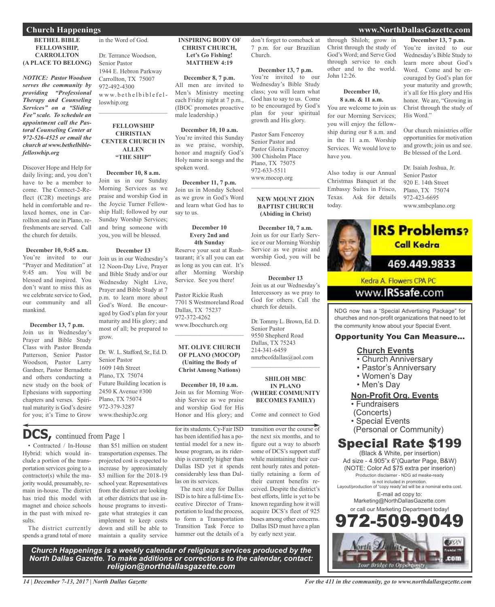in the Word of God.

Senior Pastor

972-492-4300

loswhip.org

Dr. Terrance Woodson,

1944 E. Hebron Parkway Carrollton, TX 75007

www.bethelbiblefel-

 $\mathcal{L}_\text{max}$  , which is a set of the set of the set of the set of the set of the set of the set of the set of the set of the set of the set of the set of the set of the set of the set of the set of the set of the set of

**FELLOWSHIP CHRISTIAN CENTER CHURCH IN ALLEN "THE SHIP"**

**December 10, 8 a.m.** Join us in our Sunday Morning Services as we praise and worship God in the Joycie Turner Fellowship Hall; followed by our Sunday Worship Services; and bring someone with you, you will be blessed.

**December 13** Join us in our Wednesday's 12 Noon-Day Live, Prayer and Bible Study and/or our Wednesday Night Live, Prayer and Bible Study at 7 p.m. to learn more about God's Word. Be encouraged by God's plan for your maturity and His glory; and most of all; be prepared to

Dr. W. L. Stafford, Sr., Ed. D.

Future Building location is 2450 K Avenue #300 Plano, TX 75074 972-379-3287 www.theship3c.org

grow.

Senior Pastor 1609 14th Street Plano, TX 75074

### **BETHEL BIBLE FELLOWSHIP, CARROLLTON (A PLACE TO BELONG)**

*NOTICE: Pastor Woodson serves the community by providing "Professional Therapy and Counseling Services" on a "Sliding Fee" scale. To schedule an appointment call the Pastoral Counseling Center at 972-526-4525 or email the church at www.bethelbiblefelloswhip.org*

Discover Hope and Help for daily living; and, you don't have to be a member to come. The Connect-2-Reflect (C2R) meetings are held in comfortable and relaxed homes, one in Carrollton and one in Plano, refreshments are served. Call the church for details.

### **December 10, 9:45 a.m.**

You're invited to our "Prayer and Meditation" at 9:45 am. You will be blessed and inspired. You don't want to miss this as we celebrate service to God our community and all mankind.

### **December 13, 7 p.m.**

Join us in Wednesday's Prayer and Bible Study Class with Pastor Brenda Patterson, Senior Pastor Woodson, Pastor Larry Gardner, Pastor Bernadette and others conducting a new study on the book of Ephesians with supporting chapters and verses. Spiritual maturity is God's desire for you; it's Time to Grow

### **DCS,** continued from Page <sup>1</sup>

• Contracted / In-House Hybrid: which would include a portion of the transportation services going to a contractor(s) while the majority would, presumably, remain in-house. The district has tried this model with magnet and choice schools in the past with mixed results.

The district currently spends a grand total of more

than \$51 million on student transportation expenses. The projected cost is expected to increase by approximately \$3 million for the 2018-19 school year. Representatives from the district are looking at other districts that use inhouse programs to investigate what strategies it can implement to keep costs down and still be able to maintain a quality service

#### **INSPIRING BODY OF CHRIST CHURCH, Let's Go Fishing! MATTHEW 4:19**

**December 8, 7 p.m.** All men are invited to Men's Ministry meeting each Friday night at 7 p.m., (IBOC promotes proactive male leadership.)

**December 10, 10 a.m.** You're invited this Sunday as we praise, worship, honor and magnify God's Holy name in songs and the spoken word.

**December 11, 7 p.m.** Join us in Monday School as we grow in God's Word and learn what God has to say to us.

#### **December 10 Every 2nd and 4th Sunday**

Reserve your seat at Rushtaurant; it's all you can eat as long as you can eat. It's after Morning Worship Service. See you there!

Pastor Rickie Rush 7701 S Westmoreland Road Dallas, TX 75237 972-372-4262 www.Ibocchurch.org  $\mathcal{L}=\mathcal{L}^{\mathcal{L}}$  , where  $\mathcal{L}^{\mathcal{L}}$  , we have the set of the set of the set of the set of the set of the set of the set of the set of the set of the set of the set of the set of the set of the set of the set of

### **MT. OLIVE CHURCH OF PLANO (MOCOP) (Uniting the Body of Christ Among Nations)**

**December 10, 10 a.m.** Join us for Morning Worship Service as we praise and worship God for His Honor and His glory; and

for its students. Cy-Fair ISD has been identified has a potential model for a new inhouse program, as its ridership is currently higher than Dallas ISD yet it spends considerably less than Dallas on its services.

The next step for Dallas ISD isto hire a full-time Executive Director of Transportation to lead the process, to form a Transportation Transition Task Force to hammer out the details of a

don't forget to comeback at 7 p.m. for our Brazilian Church. through Shiloh; grow in

**December 13, 7 p.m.** You're invited to our Wednesday's Bible Study class; you will learn what God has to say to us. Come to be encouraged by God's plan for your spiritual growth and His glory.

Pastor Sam Fenceroy Senior Pastor and Pastor Gloria Fenceroy 300 Chisholm Place Plano, TX 75075 972-633-5511 www.mocop.org

#### **NEW MOUNT ZION BAPTIST CHURCH (Abiding in Christ)**

 $\mathcal{L}=\mathcal{L}^{\mathcal{L}}$  , where  $\mathcal{L}^{\mathcal{L}}$  , we have the set of the set of the set of the set of the set of the set of the set of the set of the set of the set of the set of the set of the set of the set of the set of

**December 10, 7 a.m.** Join us for our Early Service or our Morning Worship Service as we praise and worship God, you will be blessed.

**December 13** Join us at our Wednesday's Intercessory as we pray to God for others. Call the church for details.

Dr. Tommy L. Brown, Ed. D. Senior Pastor 9550 Shepherd Road Dallas, TX 75243 214-341-6459 nmzbcofdallas@aol.com

#### **SHILOH MBC IN PLANO (WHERE COMMUNITY BECOMES FAMILY)**

 $\overline{\phantom{a}}$  , and the set of the set of the set of the set of the set of the set of the set of the set of the set of the set of the set of the set of the set of the set of the set of the set of the set of the set of the s

Come and connect to God

transition over the course of the next six months, and to figure out a way to absorb some of DCS's support staff while maintaining their current hourly rates and potentially retaining a form of their current benefits received. Despite the district's best efforts, little is yet to be known regarding how it will acquire DCS's fleet of 925 buses among other concerns. Dallas ISD must have a plan by early next year.

*Church Happenings is a weekly calendar of religious services produced by the North Dallas Gazette. To make additions or corrections to the calendar, contact: religion@northdallasgazette.com*

#### **December 10, 8 a.m. & 11 a.m.**

You are welcome to join us for our Morning Services; you will enjoy the fellowship during our 8 a.m. and in the 11 a.m. Worship Services. We would love to have you.

Also today is our Annual Christmas Banquet at the Embassy Suites in Frisco, Texas. Ask for details today.

#### **December 13, 7 p.m.** You're invited to our Wednesday's Bible Study to learn more about God's Word. Come and be en-

couraged by God's plan for your maturity and growth; it's all for His glory and His honor. We are, "Growing in Christ through the study of His Word."

Our church ministries offer opportunities for motivation and growth; join us and see. Be blessed of the Lord.

Dr. Isaiah Joshua, Jr. Senior Pastor 920 E. 14th Street Plano, TX 75074 972-423-6695 www.smbcplano.org



NDG now has a "Special Advertising Package" for churches and non-profit organizations that need to let the community know about your Special Event.

### Opportunity You Can Measure...

### **Church Events**

- Church Anniversary
- Pastor's Anniversary
- Women's Day
- Men's Day

### **Non-Profit Org. Events**

• Fundraisers

- (Concerts)
- Special Events
- (Personal or Community)

### Special Rate \$199

(Black & White, per insertion) Ad size - 4.905"x 6"(Quarter Page, B&W) (NOTE: Color Ad \$75 extra per inserion) Production disclaimer - NDG ad meake-ready is not included in promotion. Layout/production of "copy ready"ad will be a nominal extra cost. E-mail ad copy to: Marketing@NorthDallasGazette.com or call our Marketing Department today!



### **Church Happenings www.NorthDallasGazette.com**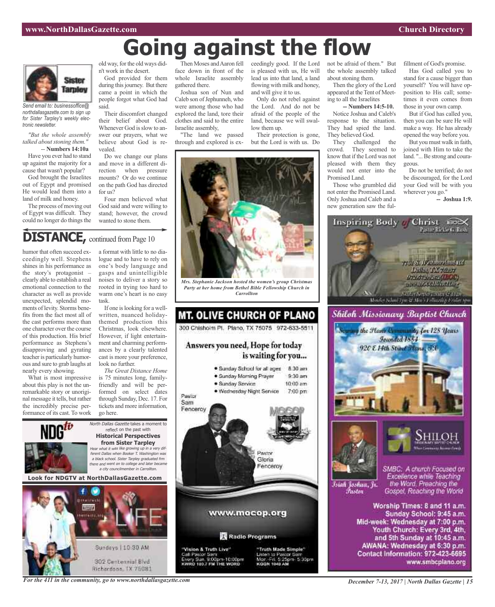# **Going against the flow**



*Send email to: businessoffice@ northdallasgazette.com to sign up for Sister Tarpley's weekly electronic newsletter.*

*"But the whole assembly talked about stoning them."*

-- **Numbers 14:10a** Have you ever had to stand up against the majority for a cause that wasn't popular?

God brought the Israelites out of Egypt and promised He would lead them into a land of milk and honey.

The process of moving out of Egypt was difficult. They could no longer do things the old way, for the old ways didn't work in the desert.

God provided for them during this journey. But there came a point in which the people forgot what God had said.

Their discomfort changed their belief about God. Whenever God is slow to answer our prayers, what we believe about God is revealed.

Do we change our plans and move in a different direction when pressure mounts? Or do we continue on the path God has directed for us?

Four men believed what God said and were willing to stand; however, the crowd wanted to stone them.

### **DISTANCE**, continued from Page 10

humor that often succeed exceedingly well. Stephens shines in his performance as the story's protagonist – clearly able to establish a real emotional connection to the character as well as provide unexpected, splendid moments of levity. Storms benefits from the fact most all of the cast performs more than one character over the course of this production. His brief performance as Stephens's disapproving and gyrating teacher is particularly humorous and sure to grab laughs at nearly every showing.

What is most impressive about this play is not the unremarkable story or unoriginal message it tells, but rather the incredibly precise performance of its cast. To work

a format with little to no dialogue and to have to rely on one's body language and gasps and unintelligible noises to deliver a story so rooted in trying too hard to warm one's heart is no easy task.

If one is looking for a wellwritten, nuanced holidaythemed production this Christmas, look elsewhere. However, if light entertainment and charming performances by a clearly talented cast is more your preference, look no further.

*The Great Distance Home* is 75 minutes long, familyfriendly and will be performed on select dates through Sunday, Dec. 17. For tickets and more information, go here.





*For the 411 in the community, go to www.northdallasgazette.com*

Then Moses and Aaron fell face down in front of the whole Israelite assembly gathered there.

Joshua son of Nun and Caleb son of Jephunneh, who were among those who had explored the land, tore their clothes and said to the entire Israelite assembly,

"The land we passed through and explored is ex-

ceedingly good. If the Lord not be afraid of them." But is pleased with us, He will lead us into that land, a land flowing with milk and honey, and will give it to us.

Only do not rebel against the Lord. And do not be afraid of the people of the land, because we will swallow them up.

Their protection is gone, but the Lord is with us. Do



*Mrs. Stephanie Jackson hosted the women's group Christmas Party at her home from Bethel Bible Fellowship Church in Carrollton*



the whole assembly talked about stoning them.

Then the glory of the Lord appeared at the Tent of Meeting to all the Israelites

**-- Numbers 14:5-10.** Notice Joshua and Caleb's response to the situation. They had spied the land. They believed God.

They challenged the crowd. They seemed to know that if the Lord was not pleased with them they would not enter into the Promised Land.

Those who grumbled did not enter the Promised Land. Only Joshua and Caleb and a new generation saw the fulfillment of God's promise.

Has God called you to stand for a cause bigger than yourself? You will have opposition to His call; sometimes it even comes from those in your own camp.

But if God has called you, then you can be sure He will make a way. He has already opened the way before you.

But you must walk in faith, joined with Him to take the land. "... Be strong and courageous.

Do not be terrified; do not be discouraged, for the Lord your God will be with you wherever you go."

www.smbcplano.org

**-- Joshua 1:9.**